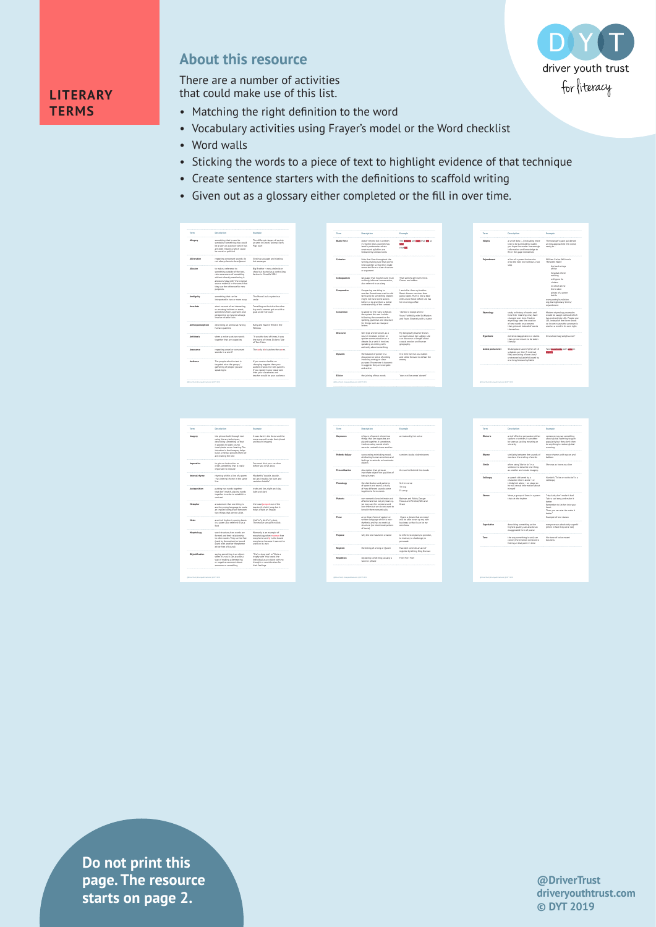

## **About this resource**

**LITERARY TERMS**

There are a number of activities that could make use of this list.

- Matching the right definition to the word
- Vocabulary activities using Frayer's model or the Word checklist
- Word walls
- Sticking the words to a piece of text to highlight evidence of that technique
- Create sentence starters with the definitions to scaffold writing
- Given out as a glossary either completed or the fill in over time.

| Term                                                      | Description                                                                                                                                                                                                                             |                                                                                                                                                         |                         |                                                                                                                                                                                                |                                                                                                                                                         |                   |                                                                                                                                                                       |                                                                                                                                                                                                                                               |
|-----------------------------------------------------------|-----------------------------------------------------------------------------------------------------------------------------------------------------------------------------------------------------------------------------------------|---------------------------------------------------------------------------------------------------------------------------------------------------------|-------------------------|------------------------------------------------------------------------------------------------------------------------------------------------------------------------------------------------|---------------------------------------------------------------------------------------------------------------------------------------------------------|-------------------|-----------------------------------------------------------------------------------------------------------------------------------------------------------------------|-----------------------------------------------------------------------------------------------------------------------------------------------------------------------------------------------------------------------------------------------|
|                                                           |                                                                                                                                                                                                                                         | Example                                                                                                                                                 | Term.                   | Description                                                                                                                                                                                    | Example                                                                                                                                                 | Term              | Description                                                                                                                                                           | Example                                                                                                                                                                                                                                       |
| Alleggry                                                  | spreething that is used to<br>symbolise something else, could<br>be a story or a picture which has<br>a hidden meaning which could<br>be moral or political                                                                             | The different classes of society<br>as seen in Onyell' Animal Farm.<br>Plas rule!                                                                       | <b>Blank Verse</b>      | doesn't rhyme but is written<br>in rhythm (like a sonnet) has<br>lambic pentameter where<br>unstressed syllables are<br>followed by stressed ones                                              | The dreams are class that sell us.<br>tak<br>changes                                                                                                    | Ellipsis          | a set of dots (  ) indicating more<br>text to be surmised by reader,<br>you hope the reader has enough<br>information and knowledge to<br>fill in the gaps themselves | The stranger's pace quickened<br>as they approached the crowd,<br>ready to.                                                                                                                                                                   |
| Aläteratio                                                | repeating consorant sounds do<br>not always have to be adjacent                                                                                                                                                                         | Sizzling sausages and sizzling<br>hot sausages                                                                                                          | Coheston                | links that flow throughout the<br>writing, making sure that points<br>link together so that they make<br>sense and form a clear structure                                                      |                                                                                                                                                         | Enjambment        | a line of a poem that carries<br>onto the next line without a full<br>1200                                                                                            | William Carlos Williams's<br>The human Walls?<br>the back wings                                                                                                                                                                               |
| Athenices                                                 | to make a reference to<br>something outside of the text,<br>raise awareness of something<br>without directly mentioning it<br>allusions 'play with' the original<br>source material in the sense that<br>that can the reference for new | Six Section - new a television<br>show but started as a controlling<br>faction in Orwell's 1984                                                         | Colloculation           | or ansument.<br>language that may be used in an<br>ordinary, informal convenation.<br>also referred to as slang                                                                                | That samle's gert lush mind.<br>Cheers me babber.                                                                                                       |                   |                                                                                                                                                                       | of the<br>hospital where<br>nothing<br>will crow lie<br>cinden<br>in which shine                                                                                                                                                              |
| Ambiouity                                                 | ourposes.<br>something that can be<br>Internation in ham or more would                                                                                                                                                                  | The Mona Lisa's mysterious.<br>smile.                                                                                                                   | Comparative             | Comparing one thing to<br>another. Sometimes used to add<br>familiarity to something readers<br>might not have come across<br>before or to give them a better<br>understanding of the context. | I am tallar than my herdhar<br>Roast dinners are nicer than<br>gasta bakes. Mum is like a bear<br>with a sore head before she has<br>her morning coffee |                   |                                                                                                                                                                       | the broken<br>pleces of a green<br>homin<br>www.poetryfoundation.<br>org/team/glossary-terms/<br>enjambment                                                                                                                                   |
| Amecdate                                                  | short account of an interesting<br>or amusing incident or event.<br>sometimes from a person's own<br>perspective sp may not always.<br>involve reliable facts                                                                           | Travelling on the tube the other<br>day and a woman got on with a<br>coat under her coat!                                                               | Convention              | to abide by the rules, to follow<br>the system this can include<br>following the convention for<br>spelling grammar and structure                                                              | I before e escept after c'<br>Yours Faithfully with SloMadam<br>and Yours Sincerely with a name                                                         | <b>Etymology</b>  | study or history of words and<br>how their meanings may have<br>changed over time, Modern<br>etymology sees the creation                                              | Modern etymology examples<br>would be Laugh out loud which<br>has evolved into LOL. People use<br>LDL instead of the three words                                                                                                              |
| Anthropomerphism                                          | describing an animal as having<br>human qualities                                                                                                                                                                                       | Ratty and Toad in Wind in the<br><b>FRIDAY</b>                                                                                                          |                         | for things such as essays or<br>letters.                                                                                                                                                       |                                                                                                                                                         |                   | of new words or acronyms.<br>that get used instead of words<br>themselves                                                                                             | so in some cases the acronym is.<br>used as a word in its own right.                                                                                                                                                                          |
| Antihasis                                                 | when a writer rule han works<br>together that are opposites.                                                                                                                                                                            | To was the heat of times it was<br>the worst of times. Dickens Tale<br>of Two Cities                                                                    | Discourse               | test type and structure, as a<br>noun it involves written or<br>spoken communication or a<br>debate. As a verb it involves<br>speaking or writing with                                         | My Geography teacher knows<br>so much about her subject, she<br>can discourse at length about<br>coastal erosion and human<br>geggraphy                 | Hyperbole         | extreme exaggeration or claims<br>that are not meant to be taken.<br><b>Literally</b>                                                                                 | this school bag weighs a ton"                                                                                                                                                                                                                 |
| Association                                               | repeating yowel or composed.<br>spunds in a word                                                                                                                                                                                        | The world hird catches the sames                                                                                                                        | Dynamic                 | authority about something<br>the balance of power in a<br>discussion or piece of writing                                                                                                       | It is time we rise as a nation<br>and strike forward to defeat the                                                                                      | lambic gentameter | Shakespeare used rhythm of 10<br>villables per line (5 metrical)<br>feeti consisting of one short/<br>unstressed sylable followed by                                  | Two households both stike in                                                                                                                                                                                                                  |
| Audience                                                  | The people who the text is<br>terpeted at or the group /<br>gathering of people you are<br>speaking to                                                                                                                                  | If you wrote a leaflet on<br>changing napples then your<br>audience would be new parents.<br>If you spoke in your classroom<br>then your classmates and |                         | Involving energy or clear<br>purpose. If someone is dynamic<br>It suggests they are energetic<br>and active                                                                                    | enemy                                                                                                                                                   |                   | con localistanzed sullable.                                                                                                                                           |                                                                                                                                                                                                                                               |
|                                                           |                                                                                                                                                                                                                                         | teacher would be your audience.                                                                                                                         | Elisian                 | the joining of two words.                                                                                                                                                                      | <b>Maga next harmman Weaven's</b>                                                                                                                       |                   |                                                                                                                                                                       |                                                                                                                                                                                                                                               |
|                                                           |                                                                                                                                                                                                                                         |                                                                                                                                                         |                         |                                                                                                                                                                                                |                                                                                                                                                         |                   |                                                                                                                                                                       |                                                                                                                                                                                                                                               |
|                                                           |                                                                                                                                                                                                                                         |                                                                                                                                                         |                         |                                                                                                                                                                                                |                                                                                                                                                         |                   |                                                                                                                                                                       |                                                                                                                                                                                                                                               |
|                                                           |                                                                                                                                                                                                                                         |                                                                                                                                                         |                         |                                                                                                                                                                                                |                                                                                                                                                         |                   |                                                                                                                                                                       |                                                                                                                                                                                                                                               |
|                                                           | Description                                                                                                                                                                                                                             | Example                                                                                                                                                 | Term                    | Description                                                                                                                                                                                    | Pennsylv                                                                                                                                                | Tarrett           | Desprietion                                                                                                                                                           | <b>Departure</b>                                                                                                                                                                                                                              |
|                                                           | the picture built through text<br>using Literary techniques,<br>describing something so that<br>it appeals to sight, sound,<br>touch, taste or our hearing. The<br>intention is that imagery helps                                      | It was dark in the forest and the<br>moss was soft under foot (visual<br>and touch imagery)                                                             | Oxymoron                | A figure of speech where two<br>things that are opposites are<br>placed together, it sometimes.<br>involves using words which<br>sears to contradict one another                               | act naturally, hot as ice                                                                                                                               | Rhetoric          | art of effective persuasion either<br>spoken or written, it can often<br>be seen as lacking meaning or<br>stereday                                                    | someone may say something<br>about global warming to gain<br>popularity but they don't then<br>do anything to reduce global.<br><b>Marchine</b>                                                                                               |
|                                                           | build a mental picture when we<br>are reading the text.                                                                                                                                                                                 |                                                                                                                                                         | <b>Pathetic follocy</b> | surrounding mimicking mood,<br>attributing human emotions and<br>feelings to animals or inanimate                                                                                              | sprebre clouds, violent storms.                                                                                                                         | Rhyme             | similarity between the sounds of<br>words or the ending of words.                                                                                                     | moon rhymes with spoon and<br><b>halloon</b>                                                                                                                                                                                                  |
|                                                           | to give an instruction or<br>order, something that is really<br>Important to Include                                                                                                                                                    | You must shut your car door<br>before you drive away.                                                                                                   | <b>DemandSration</b>    | objects<br>description that clues an                                                                                                                                                           | the sun hid hebird the clouds.                                                                                                                          | Similar           | often using 'Uke' or 'as' in a<br>sentence to describe one thing<br>as another and create imagery                                                                     |                                                                                                                                                                                                                                               |
|                                                           | rhyming within a line of a poem<br>- has internal rhyme in the same<br><b>Stag</b>                                                                                                                                                      | Marketin's "Anable Anable<br>toil and trouble, for burn and<br>cauldron bubble"                                                                         | Phonology               | inanimate object the qualities of<br>being human<br>the distribution and patterns                                                                                                              | Sch-m-op-ze                                                                                                                                             | Solitoguy         | a speech delivered by a<br>character who is alone - or<br>thinks he's alone - on stage so                                                                             | solidgev                                                                                                                                                                                                                                      |
| Imagery<br>Imperative<br>Internal rhyme<br>Justapos High: | putting two words together<br>that don't match placing words.<br>together in order to establish a                                                                                                                                       | truth and lies, night and day,<br>light and dark                                                                                                        |                         | of speech and sound, a study<br>of how different sounds come<br>together to form words.                                                                                                        | Th-ing<br>Element                                                                                                                                       |                   | he will reveal information about<br>himself                                                                                                                           |                                                                                                                                                                                                                                               |
| Metaphor                                                  | contrast<br>a statement that one thing is<br>another, using language to make<br>an implied comparison between<br>two things that are not alike.                                                                                         | the toast lumped out of the<br>toaster (it didn't jump but it<br>helps create an image)                                                                 | Platonic                | non-romantic love, intimate and<br>affectionate but not ohysical e.g.<br>we may care for someone and<br>love them but we do not want to<br>be with them romantically                           | Batman and Robin, Danger<br>Mouse and Penfold, Williamd<br>Grace                                                                                        | Stanza            | Verse, a group of lines in a poem<br>that set the rhythm                                                                                                              | She was as brave as a tion<br>Hamlet's "To be or not to be" is a<br>'Hey Jude, don't make it bad<br>Take a sad song and make it<br>harrow<br>Remember to let her into your<br><b>harry</b><br>Then you can start to make it.<br><b>harrow</b> |

| Term            | Description                                                      | Example                                                        |
|-----------------|------------------------------------------------------------------|----------------------------------------------------------------|
|                 |                                                                  | It was duck in the forest and the                              |
| Imagery         | the picture built through text<br>using literary techniques.     | moss was soft under foot (visual)                              |
|                 | describing something so that                                     | and touch imagery)                                             |
|                 | it appeals to sight, sound.                                      |                                                                |
|                 | touch, taste or our hearing. The                                 |                                                                |
|                 | Intention is that imagery helps                                  |                                                                |
|                 | build a mental picture when we                                   |                                                                |
|                 | are reading the text                                             |                                                                |
|                 |                                                                  |                                                                |
| Imperative      | to olve an instruction or                                        | You must shut your car door                                    |
|                 | order, something that is really                                  | before you drive away.                                         |
|                 | important to include                                             |                                                                |
|                 |                                                                  |                                                                |
| Internal rhyme  | dyming within a line of a poem                                   | Macbeth's "double, double,                                     |
|                 | - has internal rhyme in the same                                 | toll and trouble, for burn and                                 |
|                 | <b>Shak</b>                                                      | raced down bushdulat                                           |
|                 |                                                                  |                                                                |
| Justapos High:  | outting two words together                                       | truth and lies, night and day.                                 |
|                 | that don't match placing words.                                  | light and dark                                                 |
|                 | together in order to establish a                                 |                                                                |
|                 | contrast                                                         |                                                                |
|                 |                                                                  |                                                                |
| Metaphor        | a statement that one thing is<br>another, using language to make | the toast lumped out of the<br>toaster (it didn't lump but it) |
|                 | an implied comparison between                                    | helps create an image)                                         |
|                 | two things that are not alike.                                   |                                                                |
|                 |                                                                  |                                                                |
| Meter           | a unit of rhythm in poetry, beats                                | Hick"or"y.dick"or"y.dock.                                      |
|                 | in a poem also referred to as a                                  | The mouse ran up the clock.                                    |
|                 | fore                                                             |                                                                |
|                 |                                                                  |                                                                |
| Morphology      | word structure.how words are                                     | Womanly is an example of                                       |
|                 | formed and their relationship                                    | morphology where woman free                                    |
|                 | to other words. They can be free                                 | morpherne and by is the bound                                  |
|                 | lused by themselves) or bound                                    | morpheme because it cannot be                                  |
|                 | lused with another morpheme<br>aither free of bounds             | used on its own                                                |
|                 |                                                                  |                                                                |
| Objectification | saving spmething is an object.                                   | She's a doormat" or "She's a                                   |
|                 | when it's not, it can also be a                                  | trophy wife" this treats the                                   |
|                 | way of making a demeaning                                        | individual as an object with no                                |
|                 | or negative comment about                                        | thought or comideration for                                    |
|                 | someone or something                                             | their feelings.                                                |
|                 |                                                                  |                                                                |
|                 |                                                                  |                                                                |

| A figure of speech where two<br>things that are opposites are<br>placed together, it sometimes.<br>involves using words which<br>seem to contradict one another<br>surrounding mimicking mood.<br>attributing human emotions and<br>feelings to animals or inanimate<br>description that olves an<br>inanimate object the qualities of<br>being human<br>the distribution and patterns<br>of speech and sound, a study<br>of how different sounds come<br>together to form words.<br>non-comantic love, intimate and<br>affectionate but not ohysical e.g.<br>we may care for someone and<br>love them but we do not want to<br>be with them romantically | act naturally hot as ice<br>sombre clouds violent storms.<br>the cur hid hebited the clouds<br>Sch-m-op-ze<br>$The - line$<br>Fi-um-p<br>Batman and Robin, Danger<br>Mouse and Penfold, Will and<br>Crare |
|-----------------------------------------------------------------------------------------------------------------------------------------------------------------------------------------------------------------------------------------------------------------------------------------------------------------------------------------------------------------------------------------------------------------------------------------------------------------------------------------------------------------------------------------------------------------------------------------------------------------------------------------------------------|-----------------------------------------------------------------------------------------------------------------------------------------------------------------------------------------------------------|
|                                                                                                                                                                                                                                                                                                                                                                                                                                                                                                                                                                                                                                                           |                                                                                                                                                                                                           |
|                                                                                                                                                                                                                                                                                                                                                                                                                                                                                                                                                                                                                                                           |                                                                                                                                                                                                           |
|                                                                                                                                                                                                                                                                                                                                                                                                                                                                                                                                                                                                                                                           |                                                                                                                                                                                                           |
|                                                                                                                                                                                                                                                                                                                                                                                                                                                                                                                                                                                                                                                           |                                                                                                                                                                                                           |
|                                                                                                                                                                                                                                                                                                                                                                                                                                                                                                                                                                                                                                                           |                                                                                                                                                                                                           |
|                                                                                                                                                                                                                                                                                                                                                                                                                                                                                                                                                                                                                                                           |                                                                                                                                                                                                           |
|                                                                                                                                                                                                                                                                                                                                                                                                                                                                                                                                                                                                                                                           |                                                                                                                                                                                                           |
|                                                                                                                                                                                                                                                                                                                                                                                                                                                                                                                                                                                                                                                           |                                                                                                                                                                                                           |
|                                                                                                                                                                                                                                                                                                                                                                                                                                                                                                                                                                                                                                                           |                                                                                                                                                                                                           |
|                                                                                                                                                                                                                                                                                                                                                                                                                                                                                                                                                                                                                                                           |                                                                                                                                                                                                           |
|                                                                                                                                                                                                                                                                                                                                                                                                                                                                                                                                                                                                                                                           |                                                                                                                                                                                                           |
|                                                                                                                                                                                                                                                                                                                                                                                                                                                                                                                                                                                                                                                           |                                                                                                                                                                                                           |
|                                                                                                                                                                                                                                                                                                                                                                                                                                                                                                                                                                                                                                                           |                                                                                                                                                                                                           |
|                                                                                                                                                                                                                                                                                                                                                                                                                                                                                                                                                                                                                                                           |                                                                                                                                                                                                           |
|                                                                                                                                                                                                                                                                                                                                                                                                                                                                                                                                                                                                                                                           |                                                                                                                                                                                                           |
|                                                                                                                                                                                                                                                                                                                                                                                                                                                                                                                                                                                                                                                           |                                                                                                                                                                                                           |
|                                                                                                                                                                                                                                                                                                                                                                                                                                                                                                                                                                                                                                                           |                                                                                                                                                                                                           |
|                                                                                                                                                                                                                                                                                                                                                                                                                                                                                                                                                                                                                                                           |                                                                                                                                                                                                           |
|                                                                                                                                                                                                                                                                                                                                                                                                                                                                                                                                                                                                                                                           |                                                                                                                                                                                                           |
|                                                                                                                                                                                                                                                                                                                                                                                                                                                                                                                                                                                                                                                           |                                                                                                                                                                                                           |
|                                                                                                                                                                                                                                                                                                                                                                                                                                                                                                                                                                                                                                                           |                                                                                                                                                                                                           |
|                                                                                                                                                                                                                                                                                                                                                                                                                                                                                                                                                                                                                                                           |                                                                                                                                                                                                           |
|                                                                                                                                                                                                                                                                                                                                                                                                                                                                                                                                                                                                                                                           |                                                                                                                                                                                                           |
|                                                                                                                                                                                                                                                                                                                                                                                                                                                                                                                                                                                                                                                           |                                                                                                                                                                                                           |
|                                                                                                                                                                                                                                                                                                                                                                                                                                                                                                                                                                                                                                                           |                                                                                                                                                                                                           |
|                                                                                                                                                                                                                                                                                                                                                                                                                                                                                                                                                                                                                                                           |                                                                                                                                                                                                           |
|                                                                                                                                                                                                                                                                                                                                                                                                                                                                                                                                                                                                                                                           |                                                                                                                                                                                                           |
|                                                                                                                                                                                                                                                                                                                                                                                                                                                                                                                                                                                                                                                           | <b>*****************</b>                                                                                                                                                                                  |
| an ordinary form of spoken or                                                                                                                                                                                                                                                                                                                                                                                                                                                                                                                                                                                                                             | I have a dream that one day I                                                                                                                                                                             |
| written language which is non-                                                                                                                                                                                                                                                                                                                                                                                                                                                                                                                                                                                                                            | will be able to set up my own.                                                                                                                                                                            |
|                                                                                                                                                                                                                                                                                                                                                                                                                                                                                                                                                                                                                                                           |                                                                                                                                                                                                           |
| rhythmic and has no metrical.                                                                                                                                                                                                                                                                                                                                                                                                                                                                                                                                                                                                                             | business so that I can be my                                                                                                                                                                              |
|                                                                                                                                                                                                                                                                                                                                                                                                                                                                                                                                                                                                                                                           | own boss.                                                                                                                                                                                                 |
| of beats)                                                                                                                                                                                                                                                                                                                                                                                                                                                                                                                                                                                                                                                 |                                                                                                                                                                                                           |
|                                                                                                                                                                                                                                                                                                                                                                                                                                                                                                                                                                                                                                                           |                                                                                                                                                                                                           |
| why the text has been created                                                                                                                                                                                                                                                                                                                                                                                                                                                                                                                                                                                                                             | to inform to explain to provoke.                                                                                                                                                                          |
|                                                                                                                                                                                                                                                                                                                                                                                                                                                                                                                                                                                                                                                           | to instruct, to challenge, to                                                                                                                                                                             |
|                                                                                                                                                                                                                                                                                                                                                                                                                                                                                                                                                                                                                                                           | persuade                                                                                                                                                                                                  |
|                                                                                                                                                                                                                                                                                                                                                                                                                                                                                                                                                                                                                                                           |                                                                                                                                                                                                           |
| the killing of a King or Queen                                                                                                                                                                                                                                                                                                                                                                                                                                                                                                                                                                                                                            | Macbeth commits an act of                                                                                                                                                                                 |
|                                                                                                                                                                                                                                                                                                                                                                                                                                                                                                                                                                                                                                                           | regicide by killing King Duncan                                                                                                                                                                           |
|                                                                                                                                                                                                                                                                                                                                                                                                                                                                                                                                                                                                                                                           |                                                                                                                                                                                                           |
| repeating something; usually a                                                                                                                                                                                                                                                                                                                                                                                                                                                                                                                                                                                                                            |                                                                                                                                                                                                           |
|                                                                                                                                                                                                                                                                                                                                                                                                                                                                                                                                                                                                                                                           |                                                                                                                                                                                                           |
| word or phrase                                                                                                                                                                                                                                                                                                                                                                                                                                                                                                                                                                                                                                            | Fire! Fire! Fire!                                                                                                                                                                                         |
|                                                                                                                                                                                                                                                                                                                                                                                                                                                                                                                                                                                                                                                           | structure (no intentional pattern                                                                                                                                                                         |

**Superlative** describing something as the<br>
highest quality, can also be an<br>
exaggerated form of praise

**Tone the way something is said, can <br>convey the emotion someone is<br>feeling at that point in time** 

everyone was absolutely superb! (when in fact they were not)

Her tone of voice meant business

| @DriverTrust         |
|----------------------|
| driveryouthtrust.com |
| © DYT 2019           |

**Do not print this page. The resource starts on page 2.**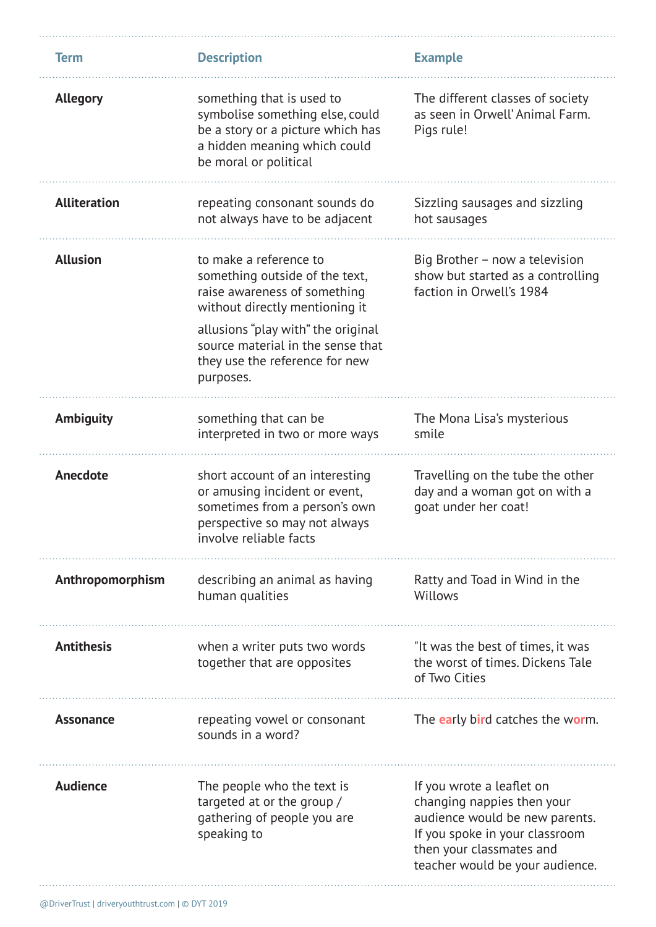| <b>Term</b>         | <b>Description</b>                                                                                                                                                                                                                                   | <b>Example</b>                                                                                                                                                                             |
|---------------------|------------------------------------------------------------------------------------------------------------------------------------------------------------------------------------------------------------------------------------------------------|--------------------------------------------------------------------------------------------------------------------------------------------------------------------------------------------|
| <b>Allegory</b>     | something that is used to<br>symbolise something else, could<br>be a story or a picture which has<br>a hidden meaning which could<br>be moral or political                                                                                           | The different classes of society<br>as seen in Orwell' Animal Farm.<br>Pigs rule!                                                                                                          |
| <b>Alliteration</b> | repeating consonant sounds do<br>not always have to be adjacent                                                                                                                                                                                      | Sizzling sausages and sizzling<br>hot sausages                                                                                                                                             |
| <b>Allusion</b>     | to make a reference to<br>something outside of the text,<br>raise awareness of something<br>without directly mentioning it<br>allusions "play with" the original<br>source material in the sense that<br>they use the reference for new<br>purposes. | Big Brother - now a television<br>show but started as a controlling<br>faction in Orwell's 1984                                                                                            |
| <b>Ambiguity</b>    | something that can be<br>interpreted in two or more ways                                                                                                                                                                                             | The Mona Lisa's mysterious<br>smile                                                                                                                                                        |
| Anecdote            | short account of an interesting<br>or amusing incident or event,<br>sometimes from a person's own<br>perspective so may not always<br>involve reliable facts                                                                                         | Travelling on the tube the other<br>day and a woman got on with a<br>goat under her coat!                                                                                                  |
| Anthropomorphism    | describing an animal as having<br>human qualities                                                                                                                                                                                                    | Ratty and Toad in Wind in the<br>Willows                                                                                                                                                   |
| <b>Antithesis</b>   | when a writer puts two words<br>together that are opposites                                                                                                                                                                                          | "It was the best of times, it was<br>the worst of times. Dickens Tale<br>of Two Cities                                                                                                     |
| <b>Assonance</b>    | repeating vowel or consonant<br>sounds in a word?                                                                                                                                                                                                    | The early bird catches the worm.                                                                                                                                                           |
| <b>Audience</b>     | The people who the text is<br>targeted at or the group /<br>gathering of people you are<br>speaking to                                                                                                                                               | If you wrote a leaflet on<br>changing nappies then your<br>audience would be new parents.<br>If you spoke in your classroom<br>then your classmates and<br>teacher would be your audience. |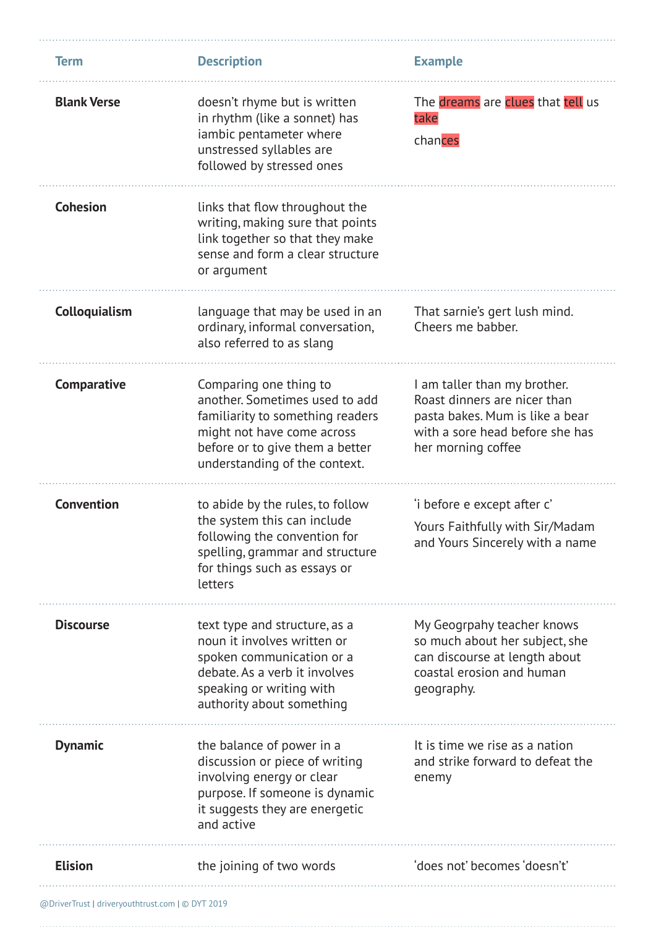| <b>Term</b>        | <b>Description</b>                                                                                                                                                                             | <b>Example</b>                                                                                                                                           |
|--------------------|------------------------------------------------------------------------------------------------------------------------------------------------------------------------------------------------|----------------------------------------------------------------------------------------------------------------------------------------------------------|
| <b>Blank Verse</b> | doesn't rhyme but is written<br>in rhythm (like a sonnet) has<br>iambic pentameter where<br>unstressed syllables are<br>followed by stressed ones                                              | The dreams are clues that tell us<br>take<br>chances                                                                                                     |
| <b>Cohesion</b>    | links that flow throughout the<br>writing, making sure that points<br>link together so that they make<br>sense and form a clear structure<br>or argument                                       |                                                                                                                                                          |
| Colloquialism      | language that may be used in an<br>ordinary, informal conversation,<br>also referred to as slang                                                                                               | That sarnie's gert lush mind.<br>Cheers me babber.                                                                                                       |
| Comparative        | Comparing one thing to<br>another. Sometimes used to add<br>familiarity to something readers<br>might not have come across<br>before or to give them a better<br>understanding of the context. | I am taller than my brother.<br>Roast dinners are nicer than<br>pasta bakes. Mum is like a bear<br>with a sore head before she has<br>her morning coffee |
| <b>Convention</b>  | to abide by the rules, to follow<br>the system this can include<br>following the convention for<br>spelling, grammar and structure<br>for things such as essays or<br>letters                  | 'i before e except after c'<br>Yours Faithfully with Sir/Madam<br>and Yours Sincerely with a name                                                        |
| <b>Discourse</b>   | text type and structure, as a<br>noun it involves written or<br>spoken communication or a<br>debate. As a verb it involves<br>speaking or writing with<br>authority about something            | My Geogrpahy teacher knows<br>so much about her subject, she<br>can discourse at length about<br>coastal erosion and human<br>geography.                 |
| <b>Dynamic</b>     | the balance of power in a<br>discussion or piece of writing<br>involving energy or clear<br>purpose. If someone is dynamic<br>it suggests they are energetic<br>and active                     | It is time we rise as a nation<br>and strike forward to defeat the<br>enemy                                                                              |
| <b>Elision</b>     | the joining of two words                                                                                                                                                                       | 'does not' becomes 'doesn't'                                                                                                                             |

@DriverTrust | driveryouthtrust.com | © DYT 2019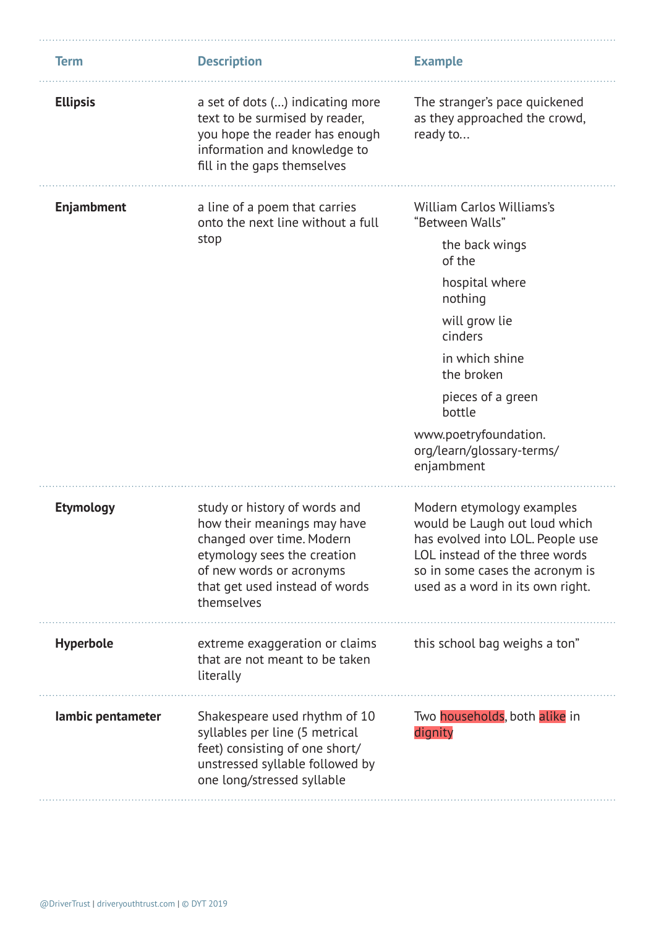| <b>Term</b>       | <b>Description</b>                                                                                                                                                                                   | <b>Example</b>                                                                                                                                                                                                                                                       |
|-------------------|------------------------------------------------------------------------------------------------------------------------------------------------------------------------------------------------------|----------------------------------------------------------------------------------------------------------------------------------------------------------------------------------------------------------------------------------------------------------------------|
| <b>Ellipsis</b>   | a set of dots () indicating more<br>text to be surmised by reader,<br>you hope the reader has enough<br>information and knowledge to<br>fill in the gaps themselves                                  | The stranger's pace quickened<br>as they approached the crowd,<br>ready to                                                                                                                                                                                           |
| <b>Enjambment</b> | a line of a poem that carries<br>onto the next line without a full<br>stop                                                                                                                           | William Carlos Williams's<br>"Between Walls"<br>the back wings<br>of the<br>hospital where<br>nothing<br>will grow lie<br>cinders<br>in which shine<br>the broken<br>pieces of a green<br>bottle<br>www.poetryfoundation.<br>org/learn/glossary-terms/<br>enjambment |
| <b>Etymology</b>  | study or history of words and<br>how their meanings may have<br>changed over time. Modern<br>etymology sees the creation<br>of new words or acronyms<br>that get used instead of words<br>themselves | Modern etymology examples<br>would be Laugh out loud which<br>has evolved into LOL. People use<br>LOL instead of the three words<br>so in some cases the acronym is<br>used as a word in its own right.                                                              |
| <b>Hyperbole</b>  | extreme exaggeration or claims<br>that are not meant to be taken<br>literally                                                                                                                        | this school bag weighs a ton"                                                                                                                                                                                                                                        |
| lambic pentameter | Shakespeare used rhythm of 10<br>syllables per line (5 metrical<br>feet) consisting of one short/<br>unstressed syllable followed by<br>one long/stressed syllable                                   | Two households, both alike in<br>dignity                                                                                                                                                                                                                             |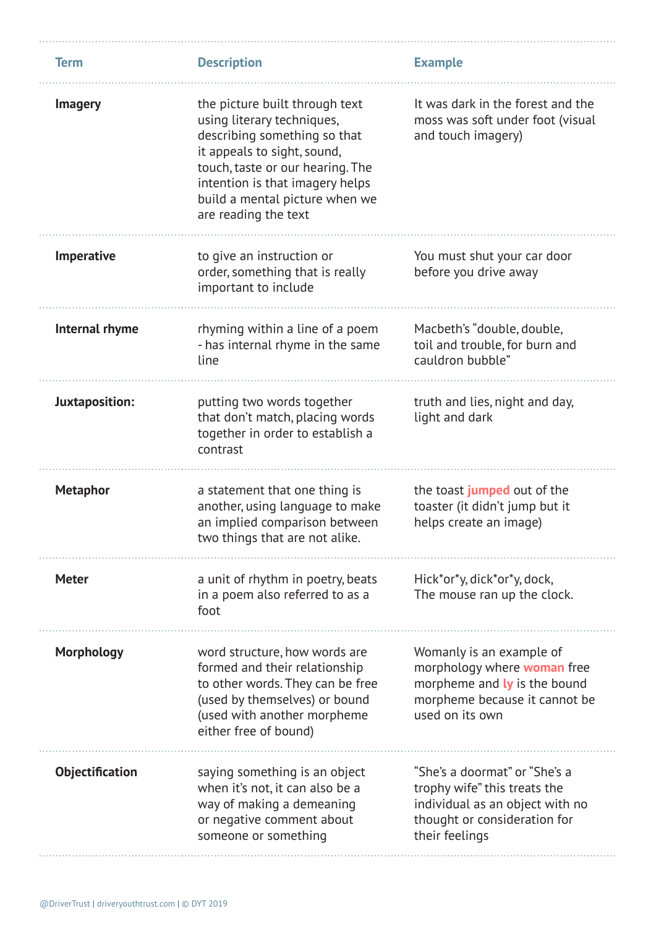| <b>Term</b>       | <b>Description</b>                                                                                                                                                                                                                                           | <b>Example</b>                                                                                                                                     |
|-------------------|--------------------------------------------------------------------------------------------------------------------------------------------------------------------------------------------------------------------------------------------------------------|----------------------------------------------------------------------------------------------------------------------------------------------------|
| <b>Imagery</b>    | the picture built through text<br>using literary techniques,<br>describing something so that<br>it appeals to sight, sound,<br>touch, taste or our hearing. The<br>intention is that imagery helps<br>build a mental picture when we<br>are reading the text | It was dark in the forest and the<br>moss was soft under foot (visual<br>and touch imagery)                                                        |
| Imperative        | to give an instruction or<br>order, something that is really<br>important to include                                                                                                                                                                         | You must shut your car door<br>before you drive away                                                                                               |
| Internal rhyme    | rhyming within a line of a poem<br>- has internal rhyme in the same<br>line                                                                                                                                                                                  | Macbeth's "double, double,<br>toil and trouble, for burn and<br>cauldron bubble"                                                                   |
| Juxtaposition:    | putting two words together<br>that don't match, placing words<br>together in order to establish a<br>contrast                                                                                                                                                | truth and lies, night and day,<br>light and dark                                                                                                   |
| <b>Metaphor</b>   | a statement that one thing is<br>another, using language to make<br>an implied comparison between<br>two things that are not alike.                                                                                                                          | the toast jumped out of the<br>toaster (it didn't jump but it<br>helps create an image)                                                            |
| <b>Meter</b>      | a unit of rhythm in poetry, beats<br>in a poem also referred to as a<br>foot                                                                                                                                                                                 | Hick*or*y, dick*or*y, dock,<br>The mouse ran up the clock.                                                                                         |
| <b>Morphology</b> | word structure, how words are<br>formed and their relationship<br>to other words. They can be free<br>(used by themselves) or bound<br>(used with another morpheme<br>either free of bound)                                                                  | Womanly is an example of<br>morphology where <b>woman</b> free<br>morpheme and ly is the bound<br>morpheme because it cannot be<br>used on its own |
| Objectification   | saying something is an object<br>when it's not, it can also be a<br>way of making a demeaning<br>or negative comment about<br>someone or something                                                                                                           | "She's a doormat" or "She's a<br>trophy wife" this treats the<br>individual as an object with no<br>thought or consideration for<br>their feelings |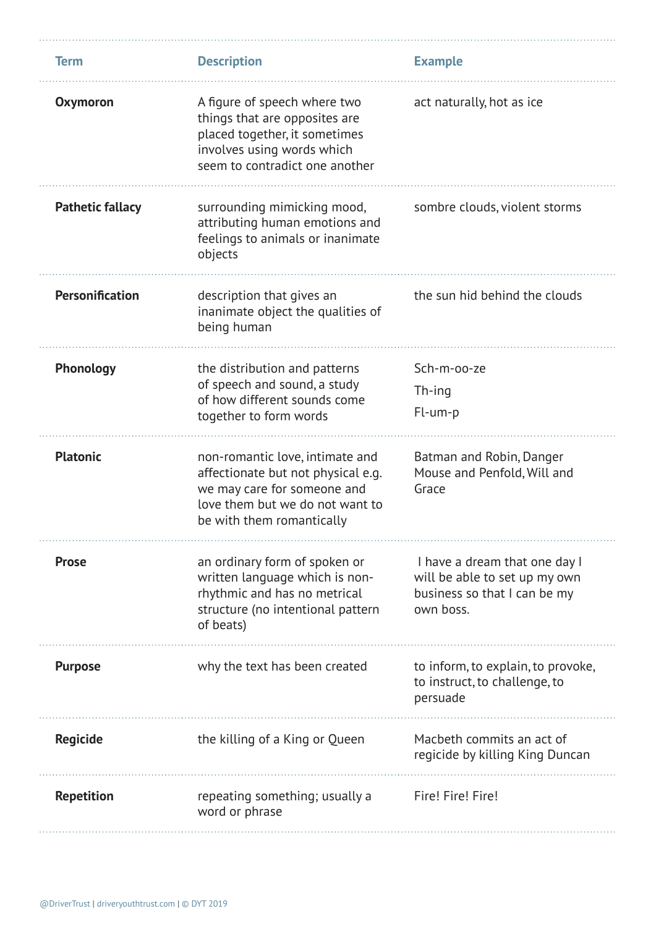| <b>Term</b>             | <b>Description</b>                                                                                                                                                   | <b>Example</b>                                                                                              |
|-------------------------|----------------------------------------------------------------------------------------------------------------------------------------------------------------------|-------------------------------------------------------------------------------------------------------------|
| <b>Oxymoron</b>         | A figure of speech where two<br>things that are opposites are<br>placed together, it sometimes<br>involves using words which<br>seem to contradict one another       | act naturally, hot as ice                                                                                   |
| <b>Pathetic fallacy</b> | surrounding mimicking mood,<br>attributing human emotions and<br>feelings to animals or inanimate<br>objects                                                         | sombre clouds, violent storms                                                                               |
| <b>Personification</b>  | description that gives an<br>inanimate object the qualities of<br>being human                                                                                        | the sun hid behind the clouds                                                                               |
| Phonology               | the distribution and patterns<br>of speech and sound, a study<br>of how different sounds come<br>together to form words                                              | Sch-m-oo-ze<br>Th-ing<br>Fl-um-p                                                                            |
| <b>Platonic</b>         | non-romantic love, intimate and<br>affectionate but not physical e.g.<br>we may care for someone and<br>love them but we do not want to<br>be with them romantically | Batman and Robin, Danger<br>Mouse and Penfold, Will and<br>Grace                                            |
| <b>Prose</b>            | an ordinary form of spoken or<br>written language which is non-<br>rhythmic and has no metrical<br>structure (no intentional pattern<br>of beats)                    | I have a dream that one day I<br>will be able to set up my own<br>business so that I can be my<br>own boss. |
| <b>Purpose</b>          | why the text has been created                                                                                                                                        | to inform, to explain, to provoke,<br>to instruct, to challenge, to<br>persuade                             |
| <b>Regicide</b>         | the killing of a King or Queen                                                                                                                                       | Macbeth commits an act of<br>regicide by killing King Duncan                                                |
| <b>Repetition</b>       | repeating something; usually a<br>word or phrase                                                                                                                     | Fire! Fire! Fire!                                                                                           |